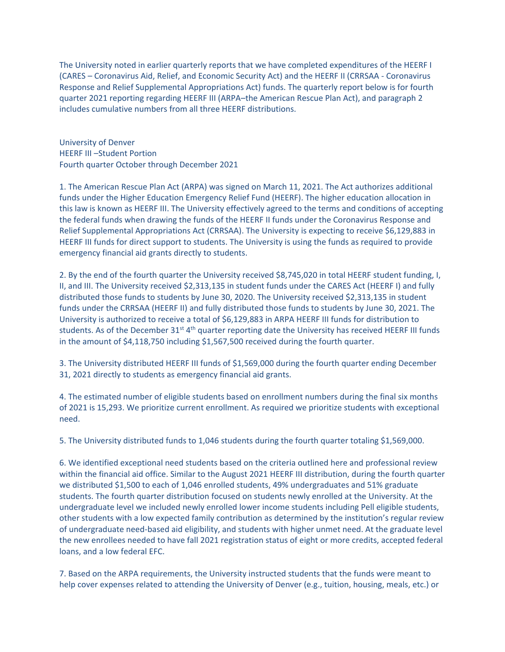The University noted in earlier quarterly reports that we have completed expenditures of the HEERF I (CARES – Coronavirus Aid, Relief, and Economic Security Act) and the HEERF II (CRRSAA - Coronavirus Response and Relief Supplemental Appropriations Act) funds. The quarterly report below is for fourth quarter 2021 reporting regarding HEERF III (ARPA–the American Rescue Plan Act), and paragraph 2 includes cumulative numbers from all three HEERF distributions.

University of Denver HEERF III –Student Portion Fourth quarter October through December 2021

1. The American Rescue Plan Act (ARPA) was signed on March 11, 2021. The Act authorizes additional funds under the Higher Education Emergency Relief Fund (HEERF). The higher education allocation in this law is known as HEERF III. The University effectively agreed to the terms and conditions of accepting the federal funds when drawing the funds of the HEERF II funds under the Coronavirus Response and Relief Supplemental Appropriations Act (CRRSAA). The University is expecting to receive \$6,129,883 in HEERF III funds for direct support to students. The University is using the funds as required to provide emergency financial aid grants directly to students.

2. By the end of the fourth quarter the University received \$8,745,020 in total HEERF student funding, I, II, and III. The University received \$2,313,135 in student funds under the CARES Act (HEERF I) and fully distributed those funds to students by June 30, 2020. The University received \$2,313,135 in student funds under the CRRSAA (HEERF II) and fully distributed those funds to students by June 30, 2021. The University is authorized to receive a total of \$6,129,883 in ARPA HEERF III funds for distribution to students. As of the December 31<sup>st 4th</sup> quarter reporting date the University has received HEERF III funds in the amount of \$4,118,750 including \$1,567,500 received during the fourth quarter.

3. The University distributed HEERF III funds of \$1,569,000 during the fourth quarter ending December 31, 2021 directly to students as emergency financial aid grants.

4. The estimated number of eligible students based on enrollment numbers during the final six months of 2021 is 15,293. We prioritize current enrollment. As required we prioritize students with exceptional need.

5. The University distributed funds to 1,046 students during the fourth quarter totaling \$1,569,000.

6. We identified exceptional need students based on the criteria outlined here and professional review within the financial aid office. Similar to the August 2021 HEERF III distribution, during the fourth quarter we distributed \$1,500 to each of 1,046 enrolled students, 49% undergraduates and 51% graduate students. The fourth quarter distribution focused on students newly enrolled at the University. At the undergraduate level we included newly enrolled lower income students including Pell eligible students, other students with a low expected family contribution as determined by the institution's regular review of undergraduate need-based aid eligibility, and students with higher unmet need. At the graduate level the new enrollees needed to have fall 2021 registration status of eight or more credits, accepted federal loans, and a low federal EFC.

7. Based on the ARPA requirements, the University instructed students that the funds were meant to help cover expenses related to attending the University of Denver (e.g., tuition, housing, meals, etc.) or